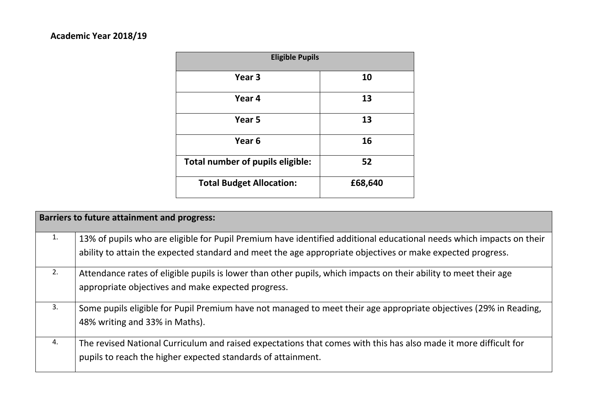# **Academic Year 2018/19**

| <b>Eligible Pupils</b>           |         |  |  |  |  |  |
|----------------------------------|---------|--|--|--|--|--|
| Year <sub>3</sub>                | 10      |  |  |  |  |  |
| Year 4                           | 13      |  |  |  |  |  |
| Year <sub>5</sub>                | 13      |  |  |  |  |  |
| Year 6                           | 16      |  |  |  |  |  |
| Total number of pupils eligible: | 52      |  |  |  |  |  |
| <b>Total Budget Allocation:</b>  | £68,640 |  |  |  |  |  |

|    | <b>Barriers to future attainment and progress:</b>                                                                                                                                                                                 |
|----|------------------------------------------------------------------------------------------------------------------------------------------------------------------------------------------------------------------------------------|
| 1. | 13% of pupils who are eligible for Pupil Premium have identified additional educational needs which impacts on their<br>ability to attain the expected standard and meet the age appropriate objectives or make expected progress. |
| 2. | Attendance rates of eligible pupils is lower than other pupils, which impacts on their ability to meet their age<br>appropriate objectives and make expected progress.                                                             |
| 3. | Some pupils eligible for Pupil Premium have not managed to meet their age appropriate objectives (29% in Reading,<br>48% writing and 33% in Maths).                                                                                |
| 4. | The revised National Curriculum and raised expectations that comes with this has also made it more difficult for<br>pupils to reach the higher expected standards of attainment.                                                   |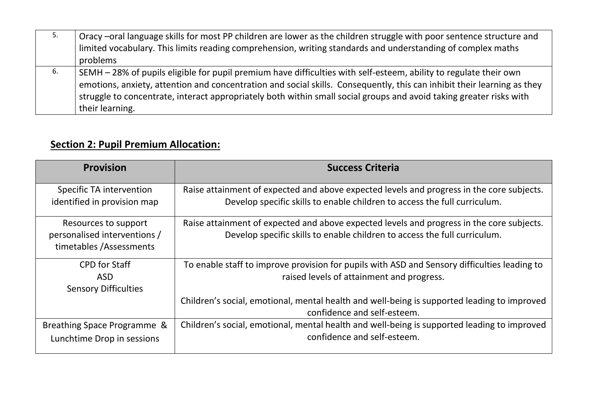| 5. | Oracy –oral language skills for most PP children are lower as the children struggle with poor sentence structure and    |
|----|-------------------------------------------------------------------------------------------------------------------------|
|    | limited vocabulary. This limits reading comprehension, writing standards and understanding of complex maths             |
|    | problems                                                                                                                |
| 6. | SEMH – 28% of pupils eligible for pupil premium have difficulties with self-esteem, ability to regulate their own       |
|    | emotions, anxiety, attention and concentration and social skills. Consequently, this can inhibit their learning as they |
|    | struggle to concentrate, interact appropriately both within small social groups and avoid taking greater risks with     |
|    | their learning.                                                                                                         |

# **Section 2: Pupil Premium Allocation:**

| <b>Provision</b>                                                                | <b>Success Criteria</b>                                                                                                                                                |
|---------------------------------------------------------------------------------|------------------------------------------------------------------------------------------------------------------------------------------------------------------------|
| <b>Specific TA intervention</b><br>identified in provision map                  | Raise attainment of expected and above expected levels and progress in the core subjects.<br>Develop specific skills to enable children to access the full curriculum. |
| Resources to support<br>personalised interventions /<br>timetables /Assessments | Raise attainment of expected and above expected levels and progress in the core subjects.<br>Develop specific skills to enable children to access the full curriculum. |
| <b>CPD</b> for Staff<br><b>ASD</b><br><b>Sensory Difficulties</b>               | To enable staff to improve provision for pupils with ASD and Sensory difficulties leading to<br>raised levels of attainment and progress.                              |
|                                                                                 | Children's social, emotional, mental health and well-being is supported leading to improved<br>confidence and self-esteem.                                             |
| Breathing Space Programme &<br>Lunchtime Drop in sessions                       | Children's social, emotional, mental health and well-being is supported leading to improved<br>confidence and self-esteem.                                             |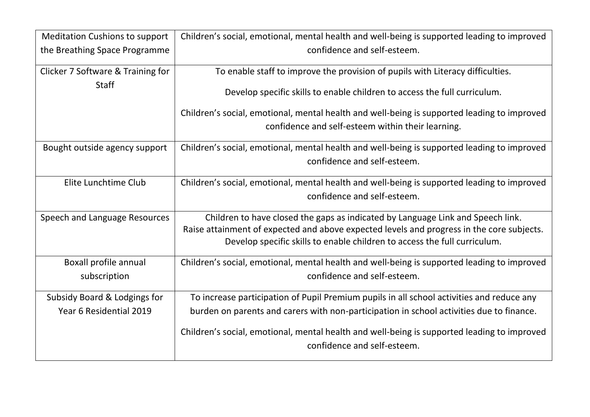| <b>Meditation Cushions to support</b> | Children's social, emotional, mental health and well-being is supported leading to improved                                                                            |
|---------------------------------------|------------------------------------------------------------------------------------------------------------------------------------------------------------------------|
| the Breathing Space Programme         | confidence and self-esteem.                                                                                                                                            |
| Clicker 7 Software & Training for     | To enable staff to improve the provision of pupils with Literacy difficulties.                                                                                         |
| <b>Staff</b>                          | Develop specific skills to enable children to access the full curriculum.                                                                                              |
|                                       | Children's social, emotional, mental health and well-being is supported leading to improved                                                                            |
|                                       | confidence and self-esteem within their learning.                                                                                                                      |
| Bought outside agency support         | Children's social, emotional, mental health and well-being is supported leading to improved                                                                            |
|                                       | confidence and self-esteem.                                                                                                                                            |
| Elite Lunchtime Club                  | Children's social, emotional, mental health and well-being is supported leading to improved                                                                            |
|                                       | confidence and self-esteem.                                                                                                                                            |
| Speech and Language Resources         | Children to have closed the gaps as indicated by Language Link and Speech link.                                                                                        |
|                                       | Raise attainment of expected and above expected levels and progress in the core subjects.<br>Develop specific skills to enable children to access the full curriculum. |
| Boxall profile annual                 | Children's social, emotional, mental health and well-being is supported leading to improved                                                                            |
| subscription                          | confidence and self-esteem.                                                                                                                                            |
| Subsidy Board & Lodgings for          | To increase participation of Pupil Premium pupils in all school activities and reduce any                                                                              |
| Year 6 Residential 2019               | burden on parents and carers with non-participation in school activities due to finance.                                                                               |
|                                       | Children's social, emotional, mental health and well-being is supported leading to improved                                                                            |
|                                       | confidence and self-esteem.                                                                                                                                            |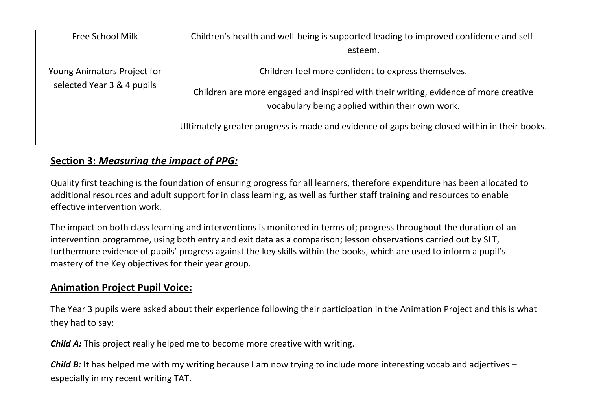| <b>Free School Milk</b>     | Children's health and well-being is supported leading to improved confidence and self-                                                                                                                                                  |
|-----------------------------|-----------------------------------------------------------------------------------------------------------------------------------------------------------------------------------------------------------------------------------------|
|                             | esteem.                                                                                                                                                                                                                                 |
| Young Animators Project for | Children feel more confident to express themselves.                                                                                                                                                                                     |
| selected Year 3 & 4 pupils  | Children are more engaged and inspired with their writing, evidence of more creative<br>vocabulary being applied within their own work.<br>Ultimately greater progress is made and evidence of gaps being closed within in their books. |

### **Section 3:** *Measuring the impact of PPG:*

Quality first teaching is the foundation of ensuring progress for all learners, therefore expenditure has been allocated to additional resources and adult support for in class learning, as well as further staff training and resources to enable effective intervention work.

The impact on both class learning and interventions is monitored in terms of; progress throughout the duration of an intervention programme, using both entry and exit data as a comparison; lesson observations carried out by SLT, furthermore evidence of pupils' progress against the key skills within the books, which are used to inform a pupil's mastery of the Key objectives for their year group.

### **Animation Project Pupil Voice:**

The Year 3 pupils were asked about their experience following their participation in the Animation Project and this is what they had to say:

*Child A:* This project really helped me to become more creative with writing.

*Child B:* It has helped me with my writing because I am now trying to include more interesting vocab and adjectives – especially in my recent writing TAT.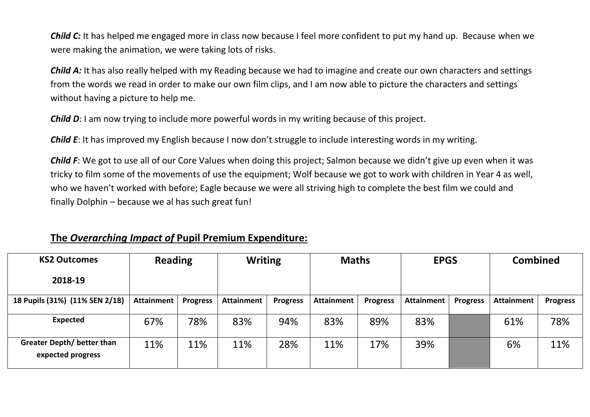*Child C:* It has helped me engaged more in class now because I feel more confident to put my hand up. Because when we were making the animation, we were taking lots of risks.

*Child A:* It has also really helped with my Reading because we had to imagine and create our own characters and settings from the words we read in order to make our own film clips, and I am now able to picture the characters and settings without having a picture to help me.

*Child D*: I am now trying to include more powerful words in my writing because of this project.

*Child E*: It has improved my English because I now don't struggle to include interesting words in my writing.

*Child F*: We got to use all of our Core Values when doing this project; Salmon because we didn't give up even when it was tricky to film some of the movements of use the equipment; Wolf because we got to work with children in Year 4 as well, who we haven't worked with before; Eagle because we were all striving high to complete the best film we could and finally Dolphin – because we al has such great fun!

#### **The** *Overarching Impact of* **Pupil Premium Expenditure:**

| <b>KS2 Outcomes</b>                                    | <b>Reading</b>    |                 | <b>Writing</b>    |                 | <b>Maths</b>      |                 | <b>EPGS</b>       |                 | <b>Combined</b>   |                 |
|--------------------------------------------------------|-------------------|-----------------|-------------------|-----------------|-------------------|-----------------|-------------------|-----------------|-------------------|-----------------|
| 2018-19                                                |                   |                 |                   |                 |                   |                 |                   |                 |                   |                 |
| 18 Pupils (31%) (11% SEN 2/18)                         | <b>Attainment</b> | <b>Progress</b> | <b>Attainment</b> | <b>Progress</b> | <b>Attainment</b> | <b>Progress</b> | <b>Attainment</b> | <b>Progress</b> | <b>Attainment</b> | <b>Progress</b> |
| <b>Expected</b>                                        | 67%               | 78%             | 83%               | 94%             | 83%               | 89%             | 83%               |                 | 61%               | 78%             |
| <b>Greater Depth/ better than</b><br>expected progress | 11%               | 11%             | 11%               | 28%             | 11%               | 17%             | 39%               |                 | 6%                | 11%             |